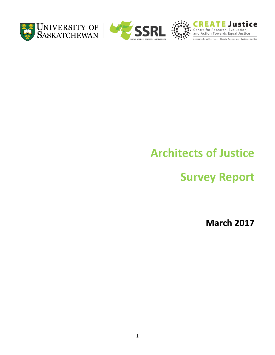





# **Architects of Justice**

# **Survey Report**

**March 2017**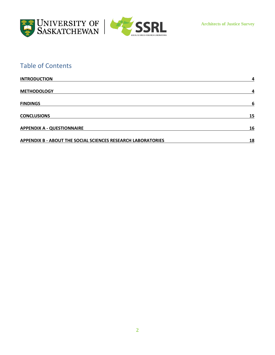



### Table of Contents

| <b>INTRODUCTION</b>                                          | 4  |
|--------------------------------------------------------------|----|
| <b>METHODOLOGY</b>                                           | 4  |
| <b>FINDINGS</b>                                              | 6  |
| <b>CONCLUSIONS</b>                                           | 15 |
| <b>APPENDIX A - QUESTIONNAIRE</b>                            | 16 |
| APPENDIX B - ABOUT THE SOCIAL SCIENCES RESEARCH LABORATORIES | 18 |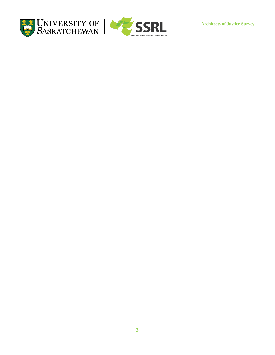



**3**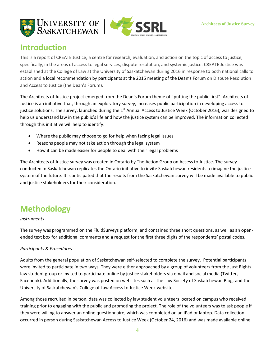



## <span id="page-3-0"></span>**Introduction**

This is a report of CREATE Justice, a centre for research, evaluation, and action on the topic of access to justice, specifically, in the areas of access to legal services, dispute resolution, and systemic justice. CREATE Justice was established at the College of Law at the University of Saskatchewan during 2016 in response to both national calls to action and a local recommendation by participants at the 2015 meeting of the Dean's Forum on Dispute Resolution and Access to Justice (the Dean's Forum).

The Architects of Justice project emerged from the Dean's Forum theme of "putting the public first". Architects of Justice is an initiative that, through an exploratory survey, increases public participation in developing access to justice solutions. The survey, launched during the  $1<sup>st</sup>$  Annual Access to Justice Week (October 2016), was designed to help us understand law in the public's life and how the justice system can be improved. The information collected through this initiative will help to identify:

- Where the public may choose to go for help when facing legal issues
- Reasons people may not take action through the legal system
- How it can be made easier for people to deal with their legal problems

The Architects of Justice survey was created in Ontario by The Action Group on Access to Justice. The survey conducted in Saskatchewan replicates the Ontario initiative to invite Saskatchewan residents to imagine the justice system of the future. It is anticipated that the results from the Saskatchewan survey will be made available to public and justice stakeholders for their consideration.

# <span id="page-3-1"></span>**Methodology**

#### *Instruments*

The survey was programmed on the FluidSurveys platform, and contained three short questions, as well as an openended text box for additional comments and a request for the first three digits of the respondents' postal codes.

#### *Participants & Procedures*

Adults from the general population of Saskatchewan self-selected to complete the survey. Potential participants were invited to participate in two ways. They were either approached by a group of volunteers from the Just Rights law student group or invited to participate online by justice stakeholders via email and social media (Twitter, Facebook). Additionally, the survey was posted on websites such as the Law Society of Saskatchewan Blog, and the University of Saskatchewan's College of Law Access to Justice Week website.

Among those recruited in person, data was collected by law student volunteers located on campus who received training prior to engaging with the public and promoting the project. The role of the volunteers was to ask people if they were willing to answer an online questionnaire, which was completed on an iPad or laptop. Data collection occurred in person during Saskatchewan Access to Justice Week (October 24, 2016) and was made available online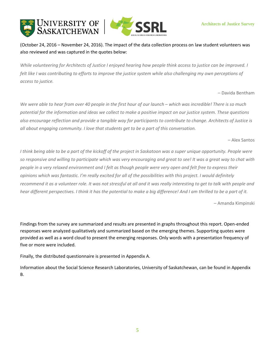



(October 24, 2016 – November 24, 2016). The impact of the data collection process on law student volunteers was also reviewed and was captured in the quotes below:

*While volunteering for Architects of Justice I enjoyed hearing how people think access to justice can be improved. I felt like I was contributing to efforts to improve the justice system while also challenging my own perceptions of access to justice.*

– Davida Bentham

*We were able to hear from over 40 people in the first hour of our launch – which was incredible! There is so much potential for the information and ideas we collect to make a positive impact on our justice system. These questions also encourage reflection and provide a tangible way for participants to contribute to change. Architects of Justice is all about engaging community. I love that students get to be a part of this conversation.*

– Alex Santos

*I think being able to be a part of the kickoff of the project in Saskatoon was a super unique opportunity. People were so responsive and willing to participate which was very encouraging and great to see! It was a great way to chat with*  people in a very relaxed environment and I felt as though people were very open and felt free to express their *opinions which was fantastic. I'm really excited for all of the possibilities with this project. I would definitely*  recommend it as a volunteer role. It was not stressful at all and it was really interesting to get to talk with people and *hear different perspectives. I think it has the potential to make a big difference! And I am thrilled to be a part of it.*

– Amanda Kimpinski

Findings from the survey are summarized and results are presented in graphs throughout this report. Open-ended responses were analyzed qualitatively and summarized based on the emerging themes. Supporting quotes were provided as well as a word cloud to present the emerging responses. Only words with a presentation frequency of five or more were included.

Finally, the distributed questionnaire is presented in Appendix A.

Information about the Social Science Research Laboratories, University of Saskatchewan, can be found in Appendix B.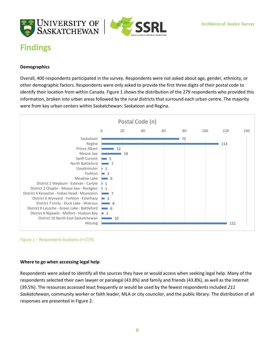



# <span id="page-5-0"></span>**Findings**

#### **Demographics**

Overall, 400 respondents participated in the survey. Respondents were not asked about age, gender, ethnicity, or other demographic factors. Respondents were only asked to provide the first three digits of their postal code to identify their location from within Canada. Figure 1 shows the distribution of the 279 respondents who provided this information, broken into urban areas followed by the rural districts that surround each urban centre. The majority were from key urban centers within Saskatchewan: Saskatoon and Regina.



Figure 1 – Respondent locations (n=279).

#### **Where to go when accessing legal help**

Respondents were asked to identify all the sources they have or would access when seeking legal help. Many of the respondents selected their own lawyer or paralegal (43.8%) and family and friends (43.8%), as well as the internet (39.5%). The resources accessed least frequently or would be used by the fewest respondents included *211 Saskatchewan*, community worker or faith leader, MLA or city councilor, and the public library. The distribution of all responses are presented in Figure 2.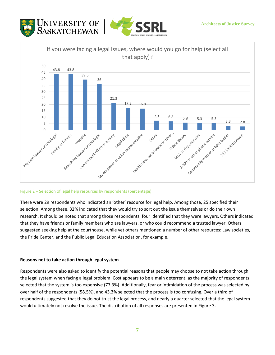





Figure 2 – Selection of legal help resources by respondents (percentage).

There were 29 respondents who indicated an 'other' resource for legal help. Among those, 25 specified their selection. Among these, 32% indicated that they would try to sort out the issue themselves or do their own research. It should be noted that among those respondents, four identified that they were lawyers. Others indicated that they have friends or family members who are lawyers, or who could recommend a trusted lawyer. Others suggested seeking help at the courthouse, while yet others mentioned a number of other resources: Law societies, the Pride Center, and the Public Legal Education Association, for example.

#### **Reasons not to take action through legal system**

Respondents were also asked to identify the potential reasons that people may choose to not take action through the legal system when facing a legal problem. Cost appears to be a main deterrent, as the majority of respondents selected that the system is too expensive (77.3%). Additionally, fear or intimidation of the process was selected by over half of the respondents (58.5%), and 43.3% selected that the process is too confusing. Over a third of respondents suggested that they do not trust the legal process, and nearly a quarter selected that the legal system would ultimately not resolve the issue. The distribution of all responses are presented in Figure 3.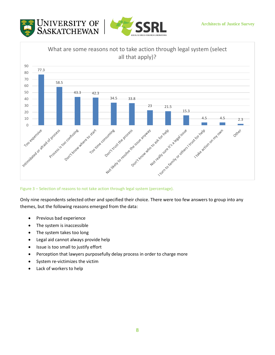





Figure 3 – Selection of reasons to not take action through legal system (percentage).

Only nine respondents selected other and specified their choice. There were too few answers to group into any themes, but the following reasons emerged from the data:

- Previous bad experience
- The system is inaccessible
- The system takes too long
- Legal aid cannot always provide help
- Issue is too small to justify effort
- Perception that lawyers purposefully delay process in order to charge more
- System re-victimizes the victim
- Lack of workers to help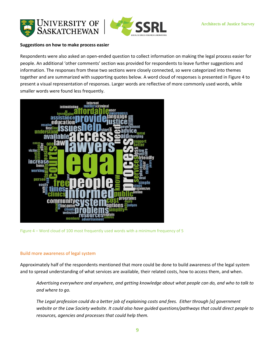



#### **Suggestions on how to make process easier**

Respondents were also asked an open-ended question to collect information on making the legal process easier for people. An additional 'other comments' section was provided for respondents to leave further suggestions and information. The responses from these two sections were closely connected, so were categorized into themes together and are summarized with supporting quotes below. A word cloud of responses is presented in Figure 4 to present a visual representation of responses. Larger words are reflective of more commonly used words, while smaller words were found less frequently.



Figure 4 – Word cloud of 100 most frequently used words with a minimum frequency of 5

#### Build more awareness of legal system

Approximately half of the respondents mentioned that more could be done to build awareness of the legal system and to spread understanding of what services are available, their related costs, how to access them, and when.

*Advertising everywhere and anywhere, and getting knowledge about what people can do, and who to talk to and where to go.* 

*The Legal profession could do a better job of explaining costs and fees. Either through [a] government website or the Law Society website. It could also have guided questions/pathways that could direct people to resources, agencies and processes that could help them.*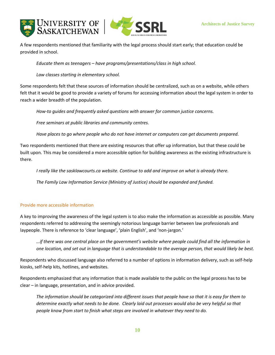



A few respondents mentioned that familiarity with the legal process should start early; that education could be provided in school.

*Educate them as teenagers – have programs/presentations/class in high school.*

*Law classes starting in elementary school.* 

Some respondents felt that these sources of information should be centralized, such as on a website, while others felt that it would be good to provide a variety of forums for accessing information about the legal system in order to reach a wider breadth of the population.

*How-to guides and frequently asked questions with answer for common justice concerns.* 

*Free seminars at public libraries and community centres.*

*Have places to go where people who do not have internet or computers can get documents prepared.*

Two respondents mentioned that there are existing resources that offer up information, but that these could be built upon. This may be considered a more accessible option for building awareness as the existing infrastructure is there.

*I really like the sasklawcourts.ca website. Continue to add and improve on what is already there.*

*The Family Law Information Service (Ministry of Justice) should be expanded and funded.*

#### Provide more accessible information

A key to improving the awareness of the legal system is to also make the information as accessible as possible. Many respondents referred to addressing the seemingly notorious language barrier between law professionals and laypeople. There is reference to 'clear language', 'plain English', and 'non-jargon.'

*…if there was one central place on the government's website where people could find all the information in one location, and set out in language that is understandable to the average person, that would likely be best.*

Respondents who discussed language also referred to a number of options in information delivery, such as self-help kiosks, self-help kits, hotlines, and websites.

Respondents emphasized that any information that is made available to the public on the legal process has to be clear – in language, presentation, and in advice provided.

*The information should be categorized into different issues that people have so that it is easy for them to determine exactly what needs to be done. Clearly laid out processes would also be very helpful so that people know from start to finish what steps are involved in whatever they need to do.*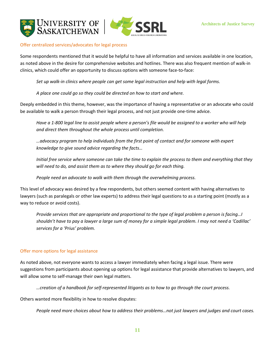



#### Offer centralized services/advocates for legal process

Some respondents mentioned that it would be helpful to have all information and services available in one location, as noted above in the desire for comprehensive websites and hotlines. There was also frequent mention of walk-in clinics, which could offer an opportunity to discuss options with someone face-to-face:

*Set up walk-in clinics where people can get some legal instruction and help with legal forms.* 

*A place one could go so they could be directed on how to start and where.*

Deeply embedded in this theme, however, was the importance of having a representative or an advocate who could be available to walk a person through their legal process, and not just provide one-time advice.

*Have a 1-800 legal line to assist people where a person's file would be assigned to a worker who will help and direct them throughout the whole process until completion.*

*…advocacy program to help individuals from the first point of contact and for someone with expert knowledge to give sound advice regarding the facts…*

*Initial free service where someone can take the time to explain the process to them and everything that they will need to do, and assist them as to where they should go for each thing.*

*People need an advocate to walk with them through the overwhelming process.*

This level of advocacy was desired by a few respondents, but others seemed content with having alternatives to lawyers (such as paralegals or other law experts) to address their legal questions to as a starting point (mostly as a way to reduce or avoid costs).

*Provide services that are appropriate and proportional to the type of legal problem a person is facing…I shouldn't have to pay a lawyer a large sum of money for a simple legal problem. I may not need a 'Cadillac' services for a 'Prius' problem.*

#### Offer more options for legal assistance

As noted above, not everyone wants to access a lawyer immediately when facing a legal issue. There were suggestions from participants about opening up options for legal assistance that provide alternatives to lawyers, and will allow some to self-manage their own legal matters.

*…creation of a handbook for self-represented litigants as to how to go through the court process.*

Others wanted more flexibility in how to resolve disputes:

*People need more choices about how to address their problems…not just lawyers and judges and court cases.*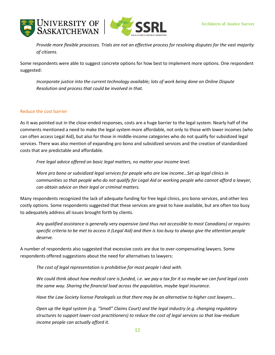



*Provide more flexible processes. Trials are not an effective process for resolving disputes for the vast majority of citizens.*

Some respondents were able to suggest concrete options for how best to implement more options. One respondent suggested:

*Incorporate justice into the current technology available; lots of work being done on Online Dispute Resolution and process that could be involved in that.*

#### Reduce the cost barrier

As it was pointed out in the close-ended responses, costs are a huge barrier to the legal system. Nearly half of the comments mentioned a need to make the legal system more affordable, not only to those with lower incomes (who can often access Legal Aid), but also for those in middle-income categories who do not qualify for subsidized legal services. There was also mention of expanding pro bono and subsidized services and the creation of standardized costs that are predictable and affordable.

*Free legal advice offered on basic legal matters, no matter your income level.*

*More pro bono or subsidized legal services for people who are low income…Set up legal clinics in communities so that people who do not qualify for Legal Aid or working people who cannot afford a lawyer, can obtain advice on their legal or criminal matters.*

Many respondents recognized the lack of adequate funding for free legal clinics, pro bono services, and other less costly options. Some respondents suggested that these services are great to have available, but are often too busy to adequately address all issues brought forth by clients.

*Any qualified assistance is generally very expensive (and thus not accessible to most Canadians) or requires specific criteria to be met to access it (Legal Aid) and then is too busy to always give the attention people deserve.*

A number of respondents also suggested that excessive costs are due to over-compensating lawyers. Some respondents offered suggestions about the need for alternatives to lawyers:

*The cost of legal representation is prohibitive for most people I deal with.*

*We could think about how medical care is funded, i.e. we pay a tax for it so maybe we can fund legal costs the same way. Sharing the financial load across the population, maybe legal insurance.*

*Have the Law Society license Paralegals so that there may be an alternative to higher cost lawyers…*

*Open up the legal system (e.g. "Small" Claims Court) and the legal industry (e.g. changing regulatory structures to support lower-cost practitioners) to reduce the cost of legal services so that low-medium income people can actually afford it.*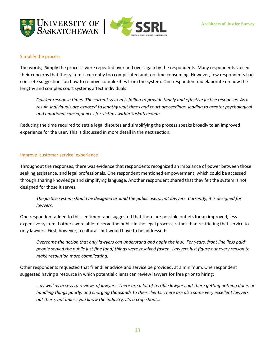



#### Simplify the process

The words, 'Simply the process' were repeated over and over again by the respondents. Many respondents voiced their concerns that the system is currently too complicated and too time consuming. However, few respondents had concrete suggestions on how to remove complexities from the system. One respondent did elaborate on how the lengthy and complex court systems affect individuals:

*Quicker response times. The current system is failing to provide timely and effective justice responses. As a result, individuals are exposed to lengthy wait times and court proceedings, leading to greater psychological and emotional consequences for victims within Saskatchewan.* 

Reducing the time required to settle legal disputes and simplifying the process speaks broadly to an improved experience for the user. This is discussed in more detail in the next section.

#### Improve 'customer service' experience

Throughout the responses, there was evidence that respondents recognized an imbalance of power between those seeking assistance, and legal professionals. One respondent mentioned empowerment, which could be accessed through sharing knowledge and simplifying language. Another respondent shared that they felt the system is not designed for those it serves.

*The justice system should be designed around the public users, not lawyers. Currently, it is designed for lawyers.*

One respondent added to this sentiment and suggested that there are possible outlets for an improved, less expensive system if others were able to serve the public in the legal process, rather than restricting that service to only lawyers. First, however, a cultural shift would have to be addressed:

*Overcome the notion that only lawyers can understand and apply the law. For years, front line 'less paid' people served the public just fine [and] things were resolved faster. Lawyers just figure out every reason to make resolution more complicating.*

Other respondents requested that friendlier advice and service be provided, at a minimum. One respondent suggested having a resource in which potential clients can review lawyers for free prior to hiring:

*…as well as access to reviews of lawyers. There are a lot of terrible lawyers out there getting nothing done, or handling things poorly, and charging thousands to their clients. There are also some very excellent lawyers out there, but unless you know the industry, it's a crap shoot…*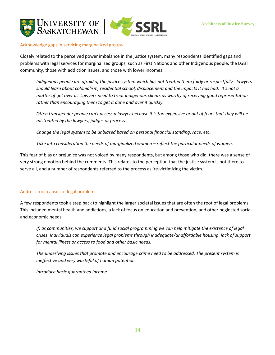





#### Acknowledge gaps in servicing marginalized groups

Closely related to the perceived power imbalance in the justice system, many respondents identified gaps and problems with legal services for marginalized groups, such as First Nations and other Indigenous people, the LGBT community, those with addiction issues, and those with lower incomes.

*Indigenous people are afraid of the justice system which has not treated them fairly or respectfully - lawyers should learn about colonialism, residential school, displacement and the impacts it has had. It's not a matter of get over it. Lawyers need to treat indigenous clients as worthy of receiving good representation rather than encouraging them to get it done and over it quickly.*

*Often transgender people can't access a lawyer because it is too expensive or out of fears that they will be mistreated by the lawyers, judges or process…*

*Change the legal system to be unbiased based on personal financial standing, race, etc…*

Take into consideration the needs of marginalized women – reflect the particular needs of women.

This fear of bias or prejudice was not voiced by many respondents, but among those who did, there was a sense of very strong emotion behind the comments. This relates to the perception that the justice system is not there to serve all, and a number of respondents referred to the process as 're-victimizing the victim.'

#### Address root causes of legal problems

A few respondents took a step back to highlight the larger societal issues that are often the root of legal problems. This included mental health and addictions, a lack of focus on education and prevention, and other neglected social and economic needs.

*If, as communities, we support and fund social programming we can help mitigate the existence of legal crises. Individuals can experience legal problems through inadequate/unaffordable housing, lack of support for mental illness or access to food and other basic needs.*

*The underlying issues that promote and encourage crime need to be addressed. The present system is ineffective and very wasteful of human potential.*

*Introduce basic guaranteed income.*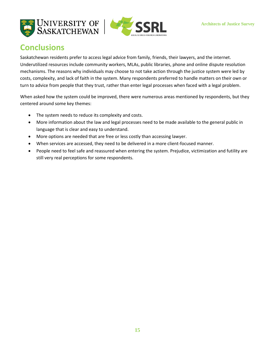



## <span id="page-14-0"></span>**Conclusions**

Saskatchewan residents prefer to access legal advice from family, friends, their lawyers, and the internet. Underutilized resources include community workers, MLAs, public libraries, phone and online dispute resolution mechanisms. The reasons why individuals may choose to not take action through the justice system were led by costs, complexity, and lack of faith in the system. Many respondents preferred to handle matters on their own or turn to advice from people that they trust, rather than enter legal processes when faced with a legal problem.

When asked how the system could be improved, there were numerous areas mentioned by respondents, but they centered around some key themes:

- The system needs to reduce its complexity and costs.
- More information about the law and legal processes need to be made available to the general public in language that is clear and easy to understand.
- More options are needed that are free or less costly than accessing lawyer.
- When services are accessed, they need to be delivered in a more client-focused manner.
- People need to feel safe and reassured when entering the system. Prejudice, victimization and futility are still very real perceptions for some respondents.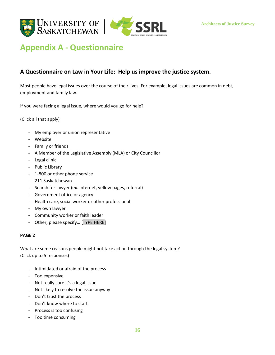



## <span id="page-15-0"></span>**Appendix A - Questionnaire**

#### **A Questionnaire on Law in Your Life: Help us improve the justice system.**

Most people have legal issues over the course of their lives. For example, legal issues are common in debt, employment and family law.

If you were facing a legal issue, where would you go for help?

(Click all that apply)

- My employer or union representative
- Website
- Family or friends
- A Member of the Legislative Assembly (MLA) or City Councillor
- Legal clinic
- Public Library
- 1-800 or other phone service
- 211 Saskatchewan
- Search for lawyer (ex. Internet, yellow pages, referral)
- Government office or agency
- Health care, social worker or other professional
- My own lawyer
- Community worker or faith leader
- Other, please specify… [TYPE HERE]

#### **PAGE 2**

What are some reasons people might not take action through the legal system? (Click up to 5 responses)

- Intimidated or afraid of the process
- Too expensive
- Not really sure it's a legal issue
- Not likely to resolve the issue anyway
- Don't trust the process
- Don't know where to start
- Process is too confusing
- Too time consuming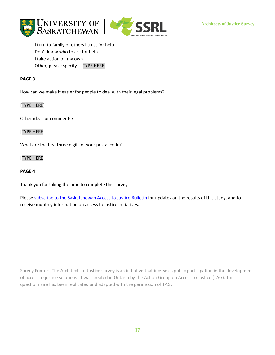



- I turn to family or others I trust for help
- Don't know who to ask for help
- I take action on my own
- Other, please specify… [TYPE HERE]

#### **PAGE 3**

How can we make it easier for people to deal with their legal problems?

#### [TYPE HERE]

Other ideas or comments?

#### [TYPE HERE]

What are the first three digits of your postal code?

#### [TYPE HERE]

#### **PAGE 4**

Thank you for taking the time to complete this survey.

Please [subscribe to the Saskatchewan Access to Justice Bulletin](http://usask.us13.list-manage.com/subscribe?u=5cef74fbe798e921a15b1b6a3&id=7c2438c102) for updates on the results of this study, and to receive monthly information on access to justice initiatives.

Survey Footer: The Architects of Justice survey is an initiative that increases public participation in the development of access to justice solutions. It was created in Ontario by the Action Group on Access to Justice (TAG). This questionnaire has been replicated and adapted with the permission of TAG.